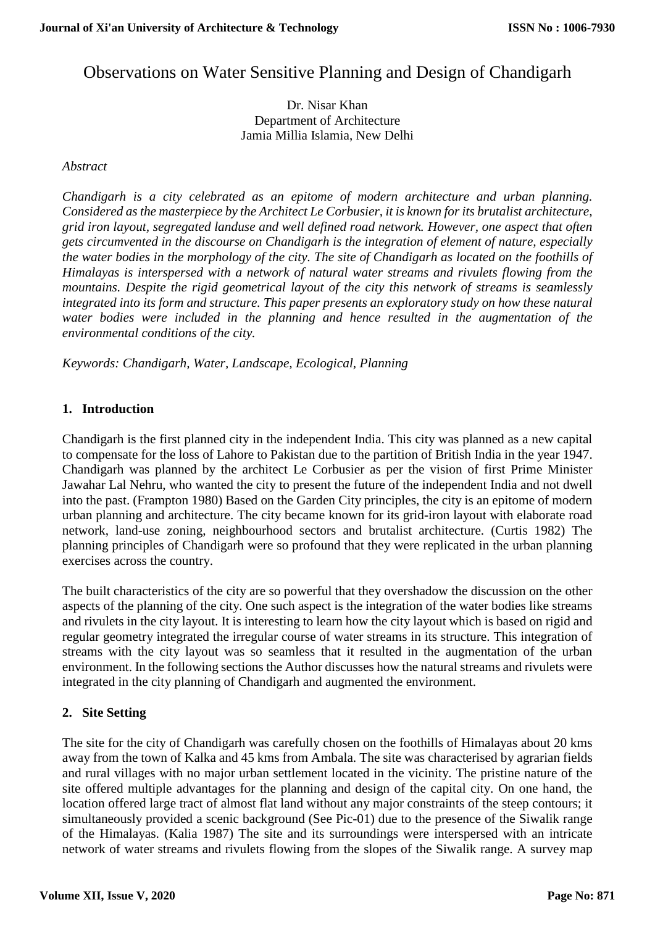# Observations on Water Sensitive Planning and Design of Chandigarh

Dr. Nisar Khan Department of Architecture Jamia Millia Islamia, New Delhi

### *Abstract*

*Chandigarh is a city celebrated as an epitome of modern architecture and urban planning. Considered as the masterpiece by the Architect Le Corbusier, it is known for its brutalist architecture, grid iron layout, segregated landuse and well defined road network. However, one aspect that often gets circumvented in the discourse on Chandigarh is the integration of element of nature, especially* the water bodies in the morphology of the city. The site of Chandigarh as located on the foothills of *Himalayas is interspersed with a network of natural water streams and rivulets flowing from the mountains. Despite the rigid geometrical layout of the city this network of streams is seamlessly integrated into its form and structure. This paper presents an exploratory study on how these natural water bodies were included in the planning and hence resulted in the augmentation of the environmental conditions of the city.*

*Keywords: Chandigarh, Water, Landscape, Ecological, Planning*

### **1. Introduction**

Chandigarh is the first planned city in the independent India. This city was planned as a new capital to compensate for the loss of Lahore to Pakistan due to the partition of British India in the year 1947. Chandigarh was planned by the architect Le Corbusier as per the vision of first Prime Minister Jawahar Lal Nehru, who wanted the city to present the future of the independent India and not dwell into the past. (Frampton 1980) Based on the Garden City principles, the city is an epitome of modern urban planning and architecture. The city became known for its grid-iron layout with elaborate road network, land-use zoning, neighbourhood sectors and brutalist architecture. (Curtis 1982) The planning principles of Chandigarh were so profound that they were replicated in the urban planning exercises across the country.

The built characteristics of the city are so powerful that they overshadow the discussion on the other aspects of the planning of the city. One such aspect is the integration of the water bodies like streams and rivulets in the city layout. It is interesting to learn how the city layout which is based on rigid and regular geometry integrated the irregular course of water streams in its structure. This integration of streams with the city layout was so seamless that it resulted in the augmentation of the urban environment. In the following sections the Author discusses how the natural streams and rivulets were integrated in the city planning of Chandigarh and augmented the environment.

### **2. Site Setting**

The site for the city of Chandigarh was carefully chosen on the foothills of Himalayas about 20 kms away from the town of Kalka and 45 kms from Ambala. The site was characterised by agrarian fields and rural villages with no major urban settlement located in the vicinity. The pristine nature of the site offered multiple advantages for the planning and design of the capital city. On one hand, the location offered large tract of almost flat land without any major constraints of the steep contours; it simultaneously provided a scenic background (See Pic-01) due to the presence of the Siwalik range of the Himalayas. (Kalia 1987) The site and its surroundings were interspersed with an intricate network of water streams and rivulets flowing from the slopes of the Siwalik range. A survey map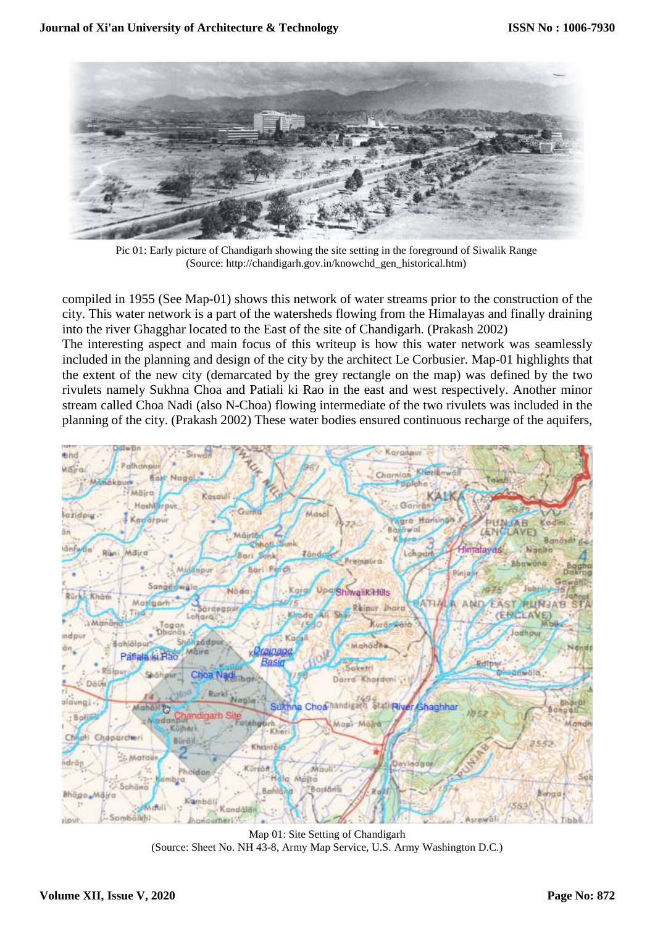

Pic 01: Early picture of Chandigarh showing the site setting in the foreground of Siwalik Range (Source: http://chandigarh.gov.in/knowchd\_gen\_historical.htm)

compiled in 1955 (See Map-01) shows this network of water streams prior to the construction of the city. This water network is a part of the watersheds flowing from the Himalayas and finally draining into the river Ghagghar located to the East of the site of Chandigarh. (Prakash 2002) The interesting aspect and main focus of this writeup is how this water network was seamlessly included in the planning and design of the city by the architect Le Corbusier. Map-01 highlights that the extent of the new city (demarcated by the grey rectangle on the map) was defined by the two rivulets namely Sukhna Choa and Patiali ki Rao in the east and west respectively. Another minor stream called Choa Nadi (also N-Choa) flowing intermediate of the two rivulets was included in the planning of the city. (Prakash 2002) These water bodies ensured continuous recharge of the aquifers,



Map 01: Site Setting of Chandigarh (Source: Sheet No. NH 43-8, Army Map Service, U.S. Army Washington D.C.)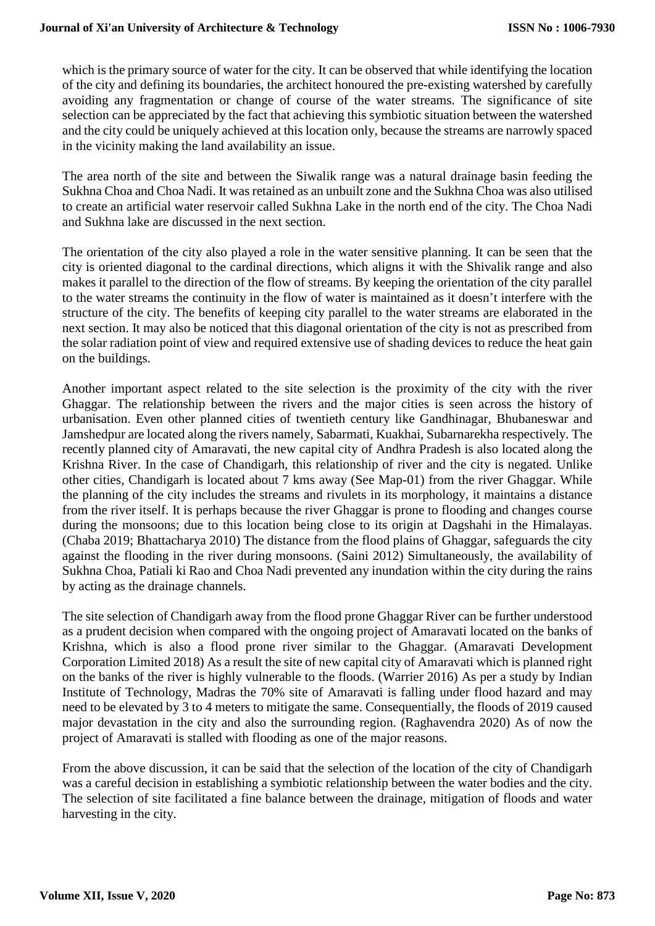which is the primary source of water for the city. It can be observed that while identifying the location of the city and defining its boundaries, the architect honoured the pre-existing watershed by carefully avoiding any fragmentation or change of course of the water streams. The significance of site selection can be appreciated by the fact that achieving this symbiotic situation between the watershed and the city could be uniquely achieved at this location only, because the streams are narrowly spaced in the vicinity making the land availability an issue.

The area north of the site and between the Siwalik range was a natural drainage basin feeding the Sukhna Choa and Choa Nadi. It was retained as an unbuilt zone and the Sukhna Choa was also utilised to create an artificial water reservoir called Sukhna Lake in the north end of the city. The Choa Nadi and Sukhna lake are discussed in the next section.

The orientation of the city also played a role in the water sensitive planning. It can be seen that the city is oriented diagonal to the cardinal directions, which aligns it with the Shivalik range and also makes it parallel to the direction of the flow of streams. By keeping the orientation of the city parallel to the water streams the continuity in the flow of water is maintained as it doesn't interfere with the structure of the city. The benefits of keeping city parallel to the water streams are elaborated in the next section. It may also be noticed that this diagonal orientation of the city is not as prescribed from the solar radiation point of view and required extensive use of shading devices to reduce the heat gain on the buildings.

Another important aspect related to the site selection is the proximity of the city with the river Ghaggar. The relationship between the rivers and the major cities is seen across the history of urbanisation. Even other planned cities of twentieth century like Gandhinagar, Bhubaneswar and Jamshedpur are located along the rivers namely, Sabarmati, Kuakhai, Subarnarekha respectively. The recently planned city of Amaravati, the new capital city of Andhra Pradesh is also located along the Krishna River. In the case of Chandigarh, this relationship of river and the city is negated. Unlike other cities, Chandigarh is located about 7 kms away (See Map-01) from the river Ghaggar. While the planning of the city includes the streams and rivulets in its morphology, it maintains a distance from the river itself. It is perhaps because the river Ghaggar is prone to flooding and changes course during the monsoons; due to this location being close to its origin at Dagshahi in the Himalayas. (Chaba 2019; Bhattacharya 2010) The distance from the flood plains of Ghaggar, safeguards the city against the flooding in the river during monsoons. (Saini 2012) Simultaneously, the availability of Sukhna Choa, Patiali ki Rao and Choa Nadi prevented any inundation within the city during the rains by acting as the drainage channels.

The site selection of Chandigarh away from the flood prone Ghaggar River can be further understood as a prudent decision when compared with the ongoing project of Amaravati located on the banks of Krishna, which is also a flood prone river similar to the Ghaggar. (Amaravati Development Corporation Limited 2018) As a result the site of new capital city of Amaravati which is planned right on the banks of the river is highly vulnerable to the floods. (Warrier 2016) As per a study by Indian Institute of Technology, Madras the 70% site of Amaravati is falling under flood hazard and may need to be elevated by 3 to 4 meters to mitigate the same. Consequentially, the floods of 2019 caused major devastation in the city and also the surrounding region. (Raghavendra 2020) As of now the project of Amaravati is stalled with flooding as one of the major reasons.

From the above discussion, it can be said that the selection of the location of the city of Chandigarh was a careful decision in establishing a symbiotic relationship between the water bodies and the city. The selection of site facilitated a fine balance between the drainage, mitigation of floods and water harvesting in the city.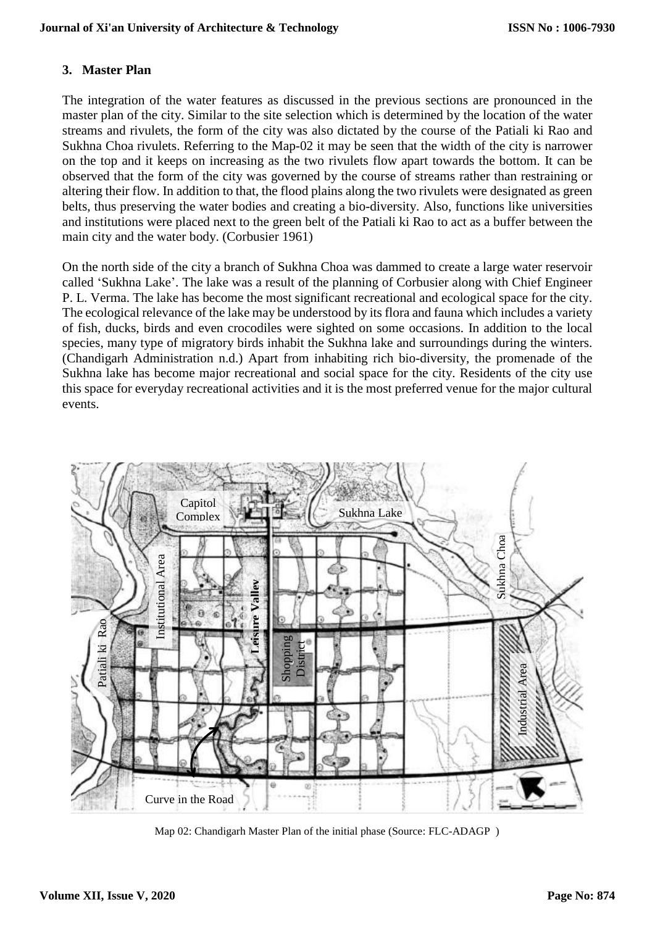## **3. Master Plan**

The integration of the water features as discussed in the previous sections are pronounced in the master plan of the city. Similar to the site selection which is determined by the location of the water streams and rivulets, the form of the city was also dictated by the course of the Patiali ki Rao and Sukhna Choa rivulets. Referring to the Map-02 it may be seen that the width of the city is narrower on the top and it keeps on increasing as the two rivulets flow apart towards the bottom. It can be observed that the form of the city was governed by the course of streams rather than restraining or altering their flow. In addition to that, the flood plains along the two rivulets were designated as green belts, thus preserving the water bodies and creating a bio-diversity. Also, functions like universities and institutions were placed next to the green belt of the Patiali ki Rao to act as a buffer between the main city and the water body. (Corbusier 1961)

On the north side of the city a branch of Sukhna Choa was dammed to create a large water reservoir called 'Sukhna Lake'. The lake was a result of the planning of Corbusier along with Chief Engineer P. L. Verma. The lake has become the most significant recreational and ecological space for the city. The ecological relevance of the lake may be understood by its flora and fauna which includes a variety of fish, ducks, birds and even crocodiles were sighted on some occasions. In addition to the local species, many type of migratory birds inhabit the Sukhna lake and surroundings during the winters. (Chandigarh Administration n.d.) Apart from inhabiting rich bio-diversity, the promenade of the Sukhna lake has become major recreational and social space for the city. Residents of the city use this space for everyday recreational activities and it is the most preferred venue for the major cultural events.



Map 02: Chandigarh Master Plan of the initial phase (Source: FLC-ADAGP )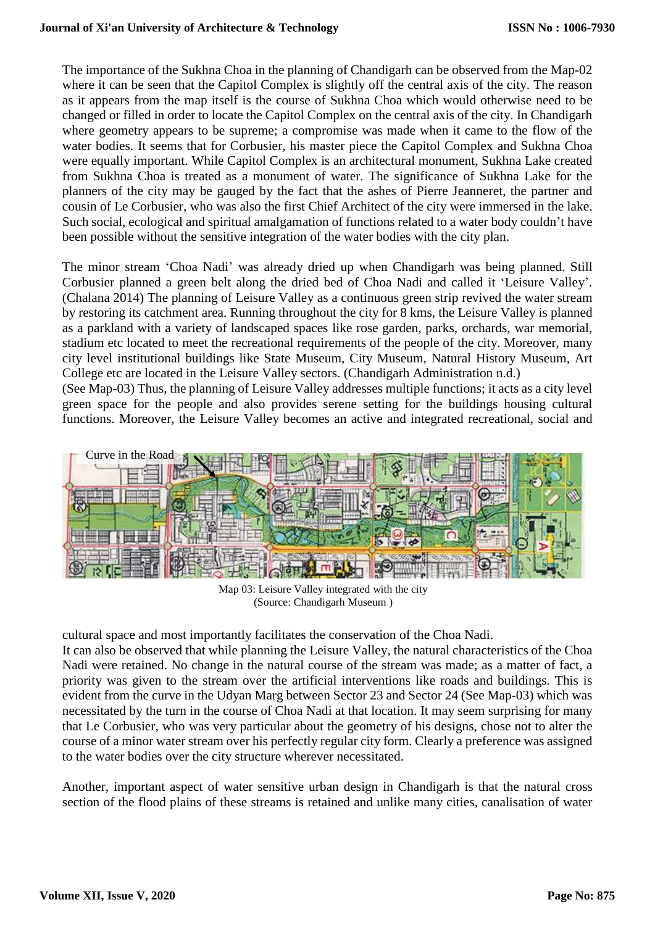The importance of the Sukhna Choa in the planning of Chandigarh can be observed from the Map-02 where it can be seen that the Capitol Complex is slightly off the central axis of the city. The reason as it appears from the map itself is the course of Sukhna Choa which would otherwise need to be changed or filled in order to locate the Capitol Complex on the central axis of the city. In Chandigarh where geometry appears to be supreme; a compromise was made when it came to the flow of the water bodies. It seems that for Corbusier, his master piece the Capitol Complex and Sukhna Choa were equally important. While Capitol Complex is an architectural monument, Sukhna Lake created from Sukhna Choa is treated as a monument of water. The significance of Sukhna Lake for the planners of the city may be gauged by the fact that the ashes of Pierre Jeanneret, the partner and cousin of Le Corbusier, who was also the first Chief Architect of the city were immersed in the lake. Such social, ecological and spiritual amalgamation of functions related to a water body couldn't have been possible without the sensitive integration of the water bodies with the city plan.

The minor stream 'Choa Nadi' was already dried up when Chandigarh was being planned. Still Corbusier planned a green belt along the dried bed of Choa Nadi and called it 'Leisure Valley'. (Chalana 2014) The planning of Leisure Valley as a continuous green strip revived the water stream by restoring its catchment area. Running throughout the city for 8 kms, the Leisure Valley is planned as a parkland with a variety of landscaped spaces like rose garden, parks, orchards, war memorial, stadium etc located to meet the recreational requirements of the people of the city. Moreover, many city level institutional buildings like State Museum, City Museum, Natural History Museum, Art College etc are located in the Leisure Valley sectors. (Chandigarh Administration n.d.) (See Map-03) Thus, the planning of Leisure Valley addresses multiple functions; it acts as a city level

green space for the people and also provides serene setting for the buildings housing cultural functions. Moreover, the Leisure Valley becomes an active and integrated recreational, social and



Map 03: Leisure Valley integrated with the city (Source: Chandigarh Museum )

cultural space and most importantly facilitates the conservation of the Choa Nadi.

It can also be observed that while planning the Leisure Valley, the natural characteristics of the Choa Nadi were retained. No change in the natural course of the stream was made; as a matter of fact, a priority was given to the stream over the artificial interventions like roads and buildings. This is evident from the curve in the Udyan Marg between Sector 23 and Sector 24 (See Map-03) which was necessitated by the turn in the course of Choa Nadi at that location. It may seem surprising for many that Le Corbusier, who was very particular about the geometry of his designs, chose not to alter the course of a minor water stream over his perfectly regular city form. Clearly a preference was assigned to the water bodies over the city structure wherever necessitated.

Another, important aspect of water sensitive urban design in Chandigarh is that the natural cross section of the flood plains of these streams is retained and unlike many cities, canalisation of water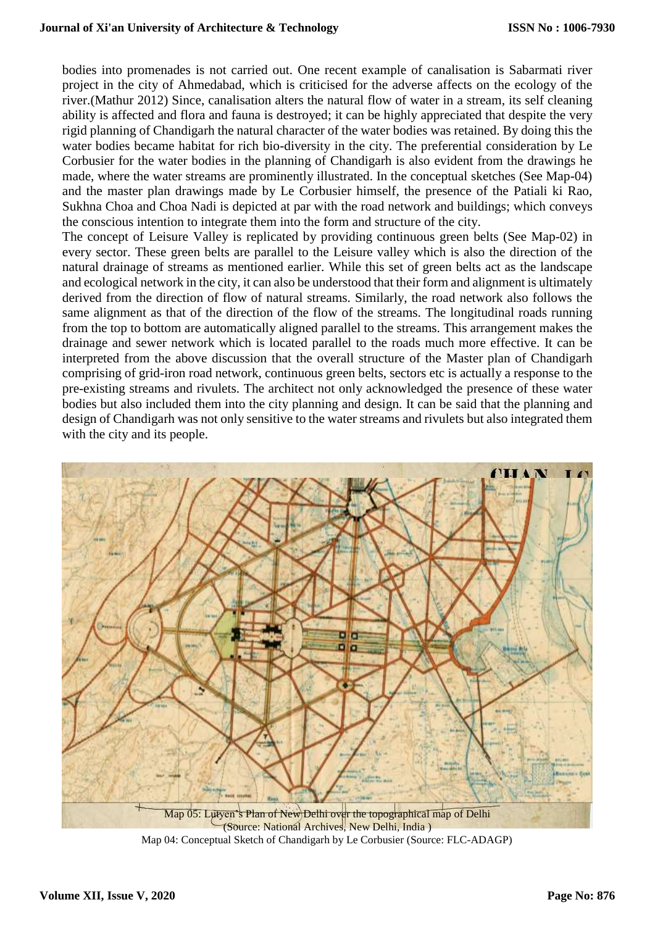bodies into promenades is not carried out. One recent example of canalisation is Sabarmati river project in the city of Ahmedabad, which is criticised for the adverse affects on the ecology of the river.(Mathur 2012) Since, canalisation alters the natural flow of water in a stream, its self cleaning ability is affected and flora and fauna is destroyed; it can be highly appreciated that despite the very rigid planning of Chandigarh the natural character of the water bodies was retained. By doing this the water bodies became habitat for rich bio-diversity in the city. The preferential consideration by Le Corbusier for the water bodies in the planning of Chandigarh is also evident from the drawings he made, where the water streams are prominently illustrated. In the conceptual sketches (See Map-04) and the master plan drawings made by Le Corbusier himself, the presence of the Patiali ki Rao, Sukhna Choa and Choa Nadi is depicted at par with the road network and buildings; which conveys the conscious intention to integrate them into the form and structure of the city.

The concept of Leisure Valley is replicated by providing continuous green belts (See Map-02) in every sector. These green belts are parallel to the Leisure valley which is also the direction of the natural drainage of streams as mentioned earlier. While this set of green belts act as the landscape and ecological network in the city, it can also be understood that their form and alignment is ultimately derived from the direction of flow of natural streams. Similarly, the road network also follows the same alignment as that of the direction of the flow of the streams. The longitudinal roads running from the top to bottom are automatically aligned parallel to the streams. This arrangement makes the drainage and sewer network which is located parallel to the roads much more effective. It can be interpreted from the above discussion that the overall structure of the Master plan of Chandigarh comprising of grid-iron road network, continuous green belts, sectors etc is actually a response to the pre-existing streams and rivulets. The architect not only acknowledged the presence of these water bodies but also included them into the city planning and design. It can be said that the planning and design of Chandigarh was not only sensitive to the water streams and rivulets but also integrated them with the city and its people.



Map 04: Conceptual Sketch of Chandigarh by Le Corbusier (Source: FLC-ADAGP)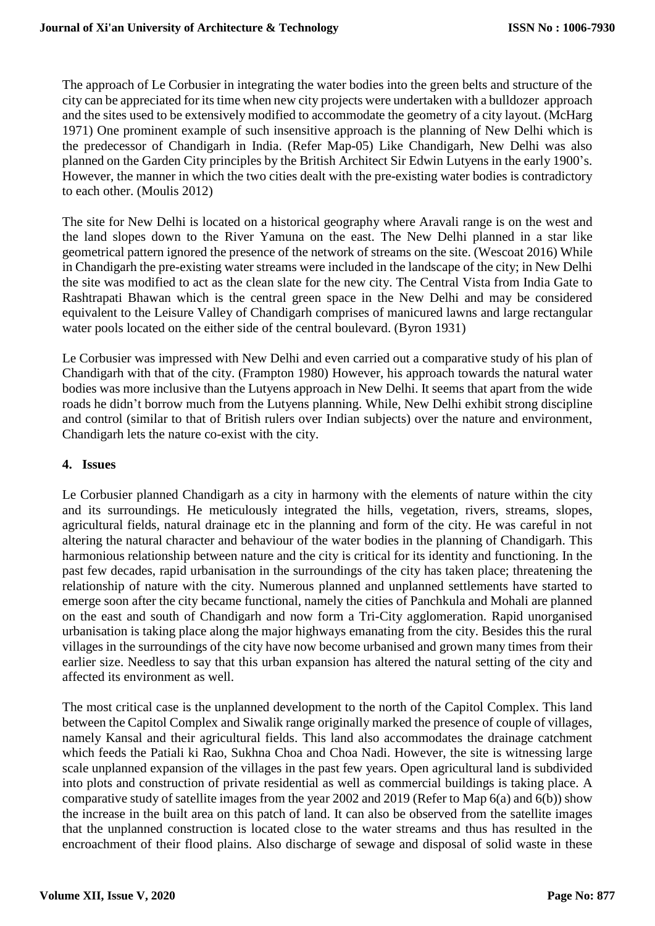The approach of Le Corbusier in integrating the water bodies into the green belts and structure of the city can be appreciated for its time when new city projects were undertaken with a bulldozer approach and the sites used to be extensively modified to accommodate the geometry of a city layout. (McHarg 1971) One prominent example of such insensitive approach is the planning of New Delhi which is the predecessor of Chandigarh in India. (Refer Map-05) Like Chandigarh, New Delhi was also planned on the Garden City principles by the British Architect Sir Edwin Lutyens in the early 1900's. However, the manner in which the two cities dealt with the pre-existing water bodies is contradictory to each other. (Moulis 2012)

The site for New Delhi is located on a historical geography where Aravali range is on the west and the land slopes down to the River Yamuna on the east. The New Delhi planned in a star like geometrical pattern ignored the presence of the network of streams on the site. (Wescoat 2016) While in Chandigarh the pre-existing water streams were included in the landscape of the city; in New Delhi the site was modified to act as the clean slate for the new city. The Central Vista from India Gate to Rashtrapati Bhawan which is the central green space in the New Delhi and may be considered equivalent to the Leisure Valley of Chandigarh comprises of manicured lawns and large rectangular water pools located on the either side of the central boulevard. (Byron 1931)

Le Corbusier was impressed with New Delhi and even carried out a comparative study of his plan of Chandigarh with that of the city. (Frampton 1980) However, his approach towards the natural water bodies was more inclusive than the Lutyens approach in New Delhi. It seems that apart from the wide roads he didn't borrow much from the Lutyens planning. While, New Delhi exhibit strong discipline and control (similar to that of British rulers over Indian subjects) over the nature and environment, Chandigarh lets the nature co-exist with the city.

### **4. Issues**

Le Corbusier planned Chandigarh as a city in harmony with the elements of nature within the city and its surroundings. He meticulously integrated the hills, vegetation, rivers, streams, slopes, agricultural fields, natural drainage etc in the planning and form of the city. He was careful in not altering the natural character and behaviour of the water bodies in the planning of Chandigarh. This harmonious relationship between nature and the city is critical for its identity and functioning. In the past few decades, rapid urbanisation in the surroundings of the city has taken place; threatening the relationship of nature with the city. Numerous planned and unplanned settlements have started to emerge soon after the city became functional, namely the cities of Panchkula and Mohali are planned on the east and south of Chandigarh and now form a Tri-City agglomeration. Rapid unorganised urbanisation is taking place along the major highways emanating from the city. Besides this the rural villages in the surroundings of the city have now become urbanised and grown many times from their earlier size. Needless to say that this urban expansion has altered the natural setting of the city and affected its environment as well.

The most critical case is the unplanned development to the north of the Capitol Complex. This land between the Capitol Complex and Siwalik range originally marked the presence of couple of villages, namely Kansal and their agricultural fields. This land also accommodates the drainage catchment which feeds the Patiali ki Rao, Sukhna Choa and Choa Nadi. However, the site is witnessing large scale unplanned expansion of the villages in the past few years. Open agricultural land is subdivided into plots and construction of private residential as well as commercial buildings is taking place. A comparative study of satellite images from the year 2002 and 2019 (Refer to Map 6(a) and 6(b)) show the increase in the built area on this patch of land. It can also be observed from the satellite images that the unplanned construction is located close to the water streams and thus has resulted in the encroachment of their flood plains. Also discharge of sewage and disposal of solid waste in these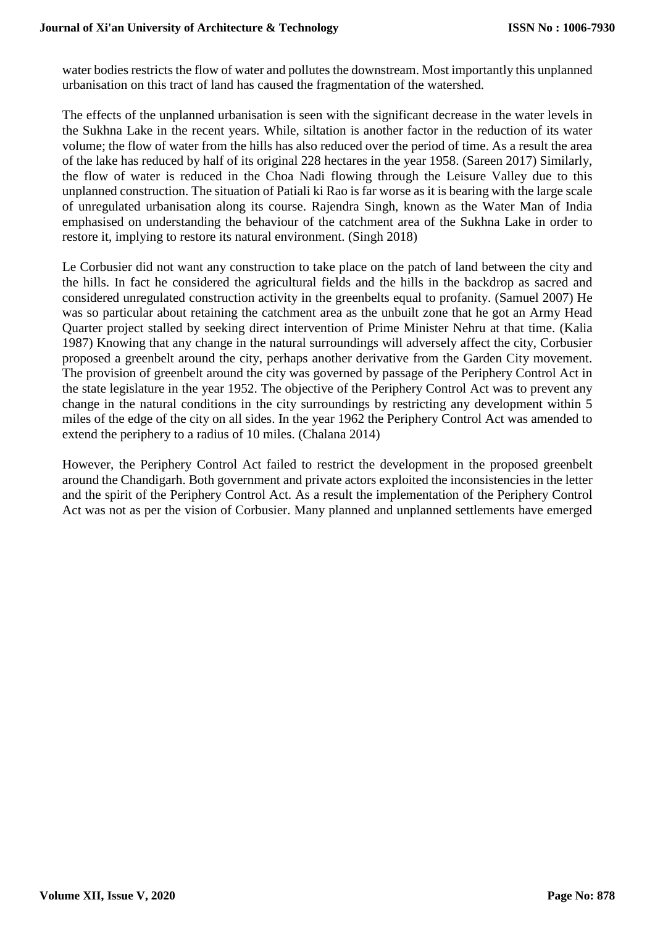water bodies restricts the flow of water and pollutes the downstream. Most importantly this unplanned urbanisation on this tract of land has caused the fragmentation of the watershed.

The effects of the unplanned urbanisation is seen with the significant decrease in the water levels in the Sukhna Lake in the recent years. While, siltation is another factor in the reduction of its water volume; the flow of water from the hills has also reduced over the period of time. As a result the area of the lake has reduced by half of its original 228 hectares in the year 1958. (Sareen 2017) Similarly, the flow of water is reduced in the Choa Nadi flowing through the Leisure Valley due to this unplanned construction. The situation of Patiali ki Rao is far worse as it is bearing with the large scale of unregulated urbanisation along its course. Rajendra Singh, known as the Water Man of India emphasised on understanding the behaviour of the catchment area of the Sukhna Lake in order to restore it, implying to restore its natural environment. (Singh 2018)

Le Corbusier did not want any construction to take place on the patch of land between the city and the hills. In fact he considered the agricultural fields and the hills in the backdrop as sacred and considered unregulated construction activity in the greenbelts equal to profanity. (Samuel 2007) He was so particular about retaining the catchment area as the unbuilt zone that he got an Army Head Quarter project stalled by seeking direct intervention of Prime Minister Nehru at that time. (Kalia 1987) Knowing that any change in the natural surroundings will adversely affect the city, Corbusier proposed a greenbelt around the city, perhaps another derivative from the Garden City movement. The provision of greenbelt around the city was governed by passage of the Periphery Control Act in the state legislature in the year 1952. The objective of the Periphery Control Act was to prevent any change in the natural conditions in the city surroundings by restricting any development within 5 miles of the edge of the city on all sides. In the year 1962 the Periphery Control Act was amended to extend the periphery to a radius of 10 miles. (Chalana 2014)

However, the Periphery Control Act failed to restrict the development in the proposed greenbelt around the Chandigarh. Both government and private actors exploited the inconsistencies in the letter and the spirit of the Periphery Control Act. As a result the implementation of the Periphery Control Act was not as per the vision of Corbusier. Many planned and unplanned settlements have emerged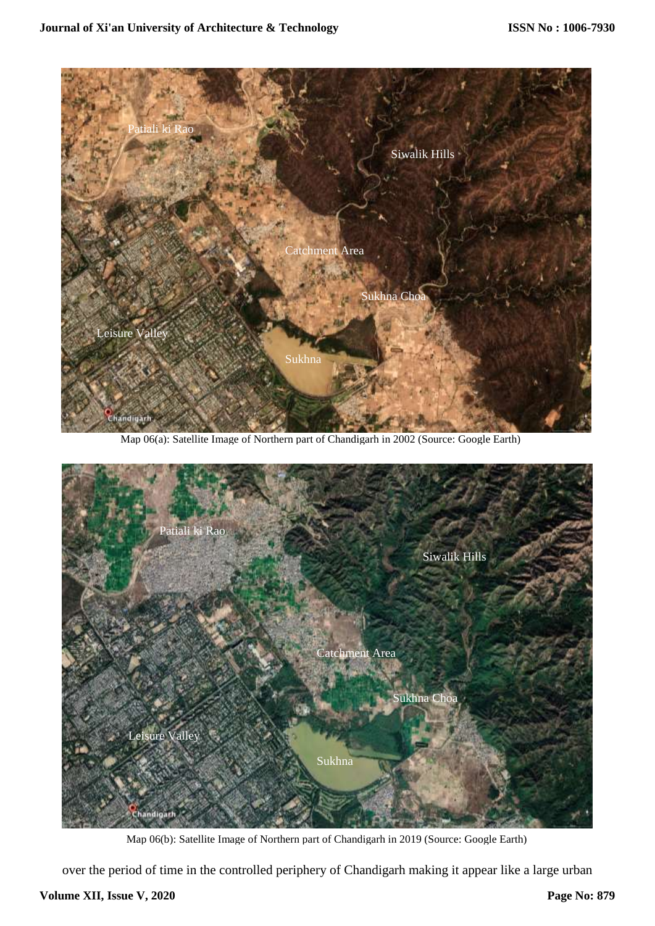

Map 06(a): Satellite Image of Northern part of Chandigarh in 2002 (Source: Google Earth)



Map 06(b): Satellite Image of Northern part of Chandigarh in 2019 (Source: Google Earth)

over the period of time in the controlled periphery of Chandigarh making it appear like a large urban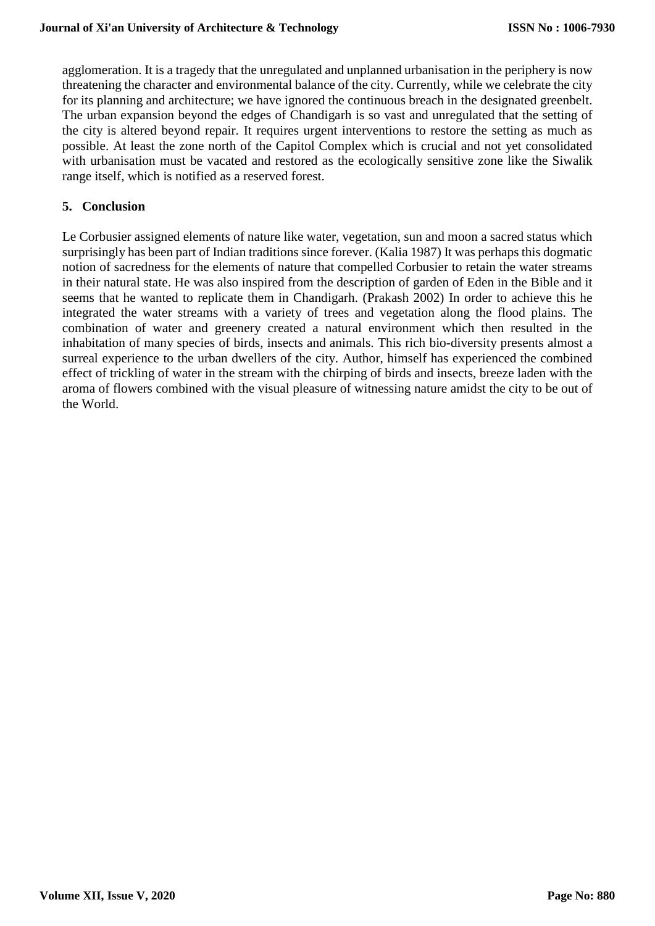agglomeration. It is a tragedy that the unregulated and unplanned urbanisation in the periphery is now threatening the character and environmental balance of the city. Currently, while we celebrate the city for its planning and architecture; we have ignored the continuous breach in the designated greenbelt. The urban expansion beyond the edges of Chandigarh is so vast and unregulated that the setting of the city is altered beyond repair. It requires urgent interventions to restore the setting as much as possible. At least the zone north of the Capitol Complex which is crucial and not yet consolidated with urbanisation must be vacated and restored as the ecologically sensitive zone like the Siwalik range itself, which is notified as a reserved forest.

### **5. Conclusion**

Le Corbusier assigned elements of nature like water, vegetation, sun and moon a sacred status which surprisingly has been part of Indian traditions since forever. (Kalia 1987) It was perhaps this dogmatic notion of sacredness for the elements of nature that compelled Corbusier to retain the water streams in their natural state. He was also inspired from the description of garden of Eden in the Bible and it seems that he wanted to replicate them in Chandigarh. (Prakash 2002) In order to achieve this he integrated the water streams with a variety of trees and vegetation along the flood plains. The combination of water and greenery created a natural environment which then resulted in the inhabitation of many species of birds, insects and animals. This rich bio-diversity presents almost a surreal experience to the urban dwellers of the city. Author, himself has experienced the combined effect of trickling of water in the stream with the chirping of birds and insects, breeze laden with the aroma of flowers combined with the visual pleasure of witnessing nature amidst the city to be out of the World.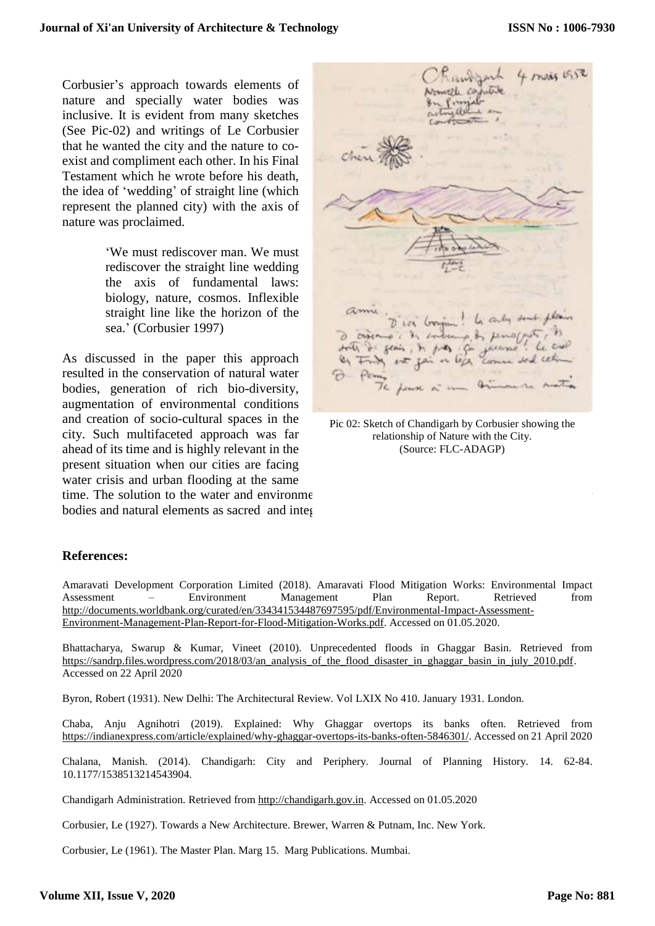Corbusier's approach towards elements of nature and specially water bodies was inclusive. It is evident from many sketches (See Pic-02) and writings of Le Corbusier that he wanted the city and the nature to coexist and compliment each other. In his Final Testament which he wrote before his death, the idea of 'wedding' of straight line (which represent the planned city) with the axis of nature was proclaimed.

> 'We must rediscover man. We must rediscover the straight line wedding the axis of fundamental laws: biology, nature, cosmos. Inflexible straight line like the horizon of the sea.' (Corbusier 1997)

As discussed in the paper this approach resulted in the conservation of natural water bodies, generation of rich bio-diversity, augmentation of environmental conditions and creation of socio-cultural spaces in the city. Such multifaceted approach was far ahead of its time and is highly relevant in the present situation when our cities are facing water crisis and urban flooding at the same time. The solution to the water and environment bodies and natural elements as sacred and integ

4 mais 19 4 it flows, to  $\mathcal{P}$  $-6$  $\frac{1}{2}$  in the set

Pic 02: Sketch of Chandigarh by Corbusier showing the relationship of Nature with the City. (Source: FLC-ADAGP)

#### **References:**

Amaravati Development Corporation Limited (2018). Amaravati Flood Mitigation Works: Environmental Impact Assessment – Environment Management Plan Report. Retrieved from [http://documents.worldbank.org/curated/en/334341534487697595/pdf/Environmental-Impact-Assessment-](http://documents.worldbank.org/curated/en/334341534487697595/pdf/Environmental-Impact-Assessment-Environment-Management-Plan-Report-for-Flood-Mitigation-Works.pdf)[Environment-Management-Plan-Report-for-Flood-Mitigation-Works.pdf.](http://documents.worldbank.org/curated/en/334341534487697595/pdf/Environmental-Impact-Assessment-Environment-Management-Plan-Report-for-Flood-Mitigation-Works.pdf) Accessed on 01.05.2020.

Bhattacharya, Swarup & Kumar, Vineet (2010). Unprecedented floods in Ghaggar Basin. Retrieved from [https://sandrp.files.wordpress.com/2018/03/an\\_analysis\\_of\\_the\\_flood\\_disaster\\_in\\_ghaggar\\_basin\\_in\\_july\\_2010.pdf.](https://sandrp.files.wordpress.com/2018/03/an_analysis_of_the_flood_disaster_in_ghaggar_basin_in_july_2010.pdf) Accessed on 22 April 2020

Byron, Robert (1931). New Delhi: The Architectural Review. Vol LXIX No 410. January 1931. London.

Chaba, Anju Agnihotri (2019). Explained: Why Ghaggar overtops its banks often. Retrieved from [https://indianexpress.com/article/explained/why-ghaggar-overtops-its-banks-often-5846301/.](https://indianexpress.com/article/explained/why-ghaggar-overtops-its-banks-often-5846301/) Accessed on 21 April 2020

Chalana, Manish. (2014). Chandigarh: City and Periphery. Journal of Planning History. 14. 62-84. 10.1177/1538513214543904.

Chandigarh Administration. Retrieved from [http://chandigarh.gov.in.](http://chandigarh.gov.in/) Accessed on 01.05.2020

Corbusier, Le (1927). Towards a New Architecture. Brewer, Warren & Putnam, Inc. New York.

Corbusier, Le (1961). The Master Plan. Marg 15. Marg Publications. Mumbai.